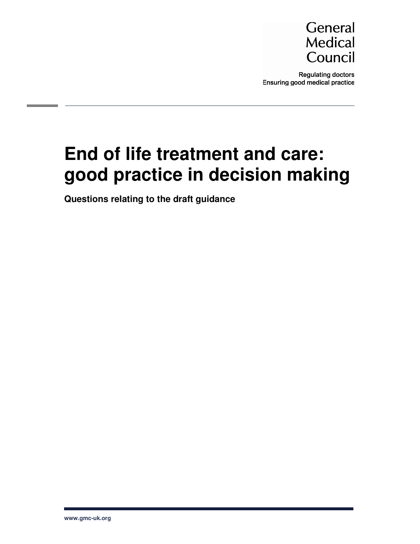

**Regulating doctors** Ensuring good medical practice

# **End of life treatment and care: good practice in decision making**

**Questions relating to the draft guidance**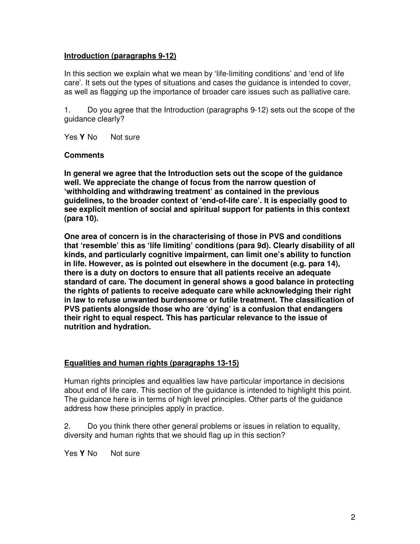# **Introduction (paragraphs 9-12)**

In this section we explain what we mean by 'life-limiting conditions' and 'end of life care'. It sets out the types of situations and cases the guidance is intended to cover, as well as flagging up the importance of broader care issues such as palliative care.

1. Do you agree that the Introduction (paragraphs 9-12) sets out the scope of the guidance clearly?

Yes Y No Not sure

#### **Comments**

**In general we agree that the Introduction sets out the scope of the guidance well. We appreciate the change of focus from the narrow question of 'withholding and withdrawing treatment' as contained in the previous guidelines, to the broader context of 'end-of-life care'. It is especially good to see explicit mention of social and spiritual support for patients in this context (para 10).** 

**One area of concern is in the characterising of those in PVS and conditions that 'resemble' this as 'life limiting' conditions (para 9d). Clearly disability of all kinds, and particularly cognitive impairment, can limit one's ability to function in life. However, as is pointed out elsewhere in the document (e.g. para 14), there is a duty on doctors to ensure that all patients receive an adequate standard of care. The document in general shows a good balance in protecting the rights of patients to receive adequate care while acknowledging their right in law to refuse unwanted burdensome or futile treatment. The classification of PVS patients alongside those who are 'dying' is a confusion that endangers their right to equal respect. This has particular relevance to the issue of nutrition and hydration.** 

#### **Equalities and human rights (paragraphs 13-15)**

Human rights principles and equalities law have particular importance in decisions about end of life care. This section of the guidance is intended to highlight this point. The guidance here is in terms of high level principles. Other parts of the guidance address how these principles apply in practice.

2. Do you think there other general problems or issues in relation to equality, diversity and human rights that we should flag up in this section?

Yes Y No Not sure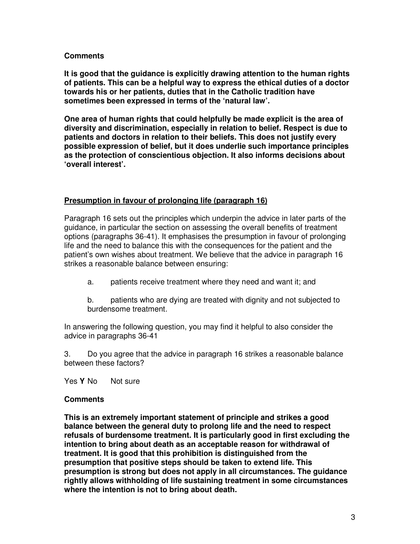**It is good that the guidance is explicitly drawing attention to the human rights of patients. This can be a helpful way to express the ethical duties of a doctor towards his or her patients, duties that in the Catholic tradition have sometimes been expressed in terms of the 'natural law'.** 

**One area of human rights that could helpfully be made explicit is the area of diversity and discrimination, especially in relation to belief. Respect is due to patients and doctors in relation to their beliefs. This does not justify every possible expression of belief, but it does underlie such importance principles as the protection of conscientious objection. It also informs decisions about 'overall interest'.**

## **Presumption in favour of prolonging life (paragraph 16)**

Paragraph 16 sets out the principles which underpin the advice in later parts of the guidance, in particular the section on assessing the overall benefits of treatment options (paragraphs 36-41). It emphasises the presumption in favour of prolonging life and the need to balance this with the consequences for the patient and the patient's own wishes about treatment. We believe that the advice in paragraph 16 strikes a reasonable balance between ensuring:

a. patients receive treatment where they need and want it; and

b. patients who are dying are treated with dignity and not subjected to burdensome treatment.

In answering the following question, you may find it helpful to also consider the advice in paragraphs 36-41

3. Do you agree that the advice in paragraph 16 strikes a reasonable balance between these factors?

Yes Y No Not sure

#### **Comments**

**This is an extremely important statement of principle and strikes a good balance between the general duty to prolong life and the need to respect refusals of burdensome treatment. It is particularly good in first excluding the intention to bring about death as an acceptable reason for withdrawal of treatment. It is good that this prohibition is distinguished from the presumption that positive steps should be taken to extend life. This presumption is strong but does not apply in all circumstances. The guidance rightly allows withholding of life sustaining treatment in some circumstances where the intention is not to bring about death.**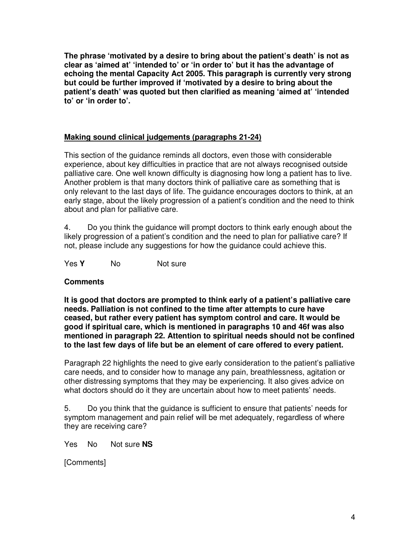**The phrase 'motivated by a desire to bring about the patient's death' is not as clear as 'aimed at' 'intended to' or 'in order to' but it has the advantage of echoing the mental Capacity Act 2005. This paragraph is currently very strong but could be further improved if 'motivated by a desire to bring about the patient's death' was quoted but then clarified as meaning 'aimed at' 'intended to' or 'in order to'.** 

#### **Making sound clinical judgements (paragraphs 21-24)**

This section of the guidance reminds all doctors, even those with considerable experience, about key difficulties in practice that are not always recognised outside palliative care. One well known difficulty is diagnosing how long a patient has to live. Another problem is that many doctors think of palliative care as something that is only relevant to the last days of life. The guidance encourages doctors to think, at an early stage, about the likely progression of a patient's condition and the need to think about and plan for palliative care.

4. Do you think the guidance will prompt doctors to think early enough about the likely progression of a patient's condition and the need to plan for palliative care? If not, please include any suggestions for how the guidance could achieve this.

Yes **Y** No Not sure

#### **Comments**

**It is good that doctors are prompted to think early of a patient's palliative care needs. Palliation is not confined to the time after attempts to cure have ceased, but rather every patient has symptom control and care. It would be good if spiritual care, which is mentioned in paragraphs 10 and 46f was also mentioned in paragraph 22. Attention to spiritual needs should not be confined to the last few days of life but be an element of care offered to every patient.** 

Paragraph 22 highlights the need to give early consideration to the patient's palliative care needs, and to consider how to manage any pain, breathlessness, agitation or other distressing symptoms that they may be experiencing. It also gives advice on what doctors should do it they are uncertain about how to meet patients' needs.

5. Do you think that the guidance is sufficient to ensure that patients' needs for symptom management and pain relief will be met adequately, regardless of where they are receiving care?

Yes No Not sure **NS**

[Comments]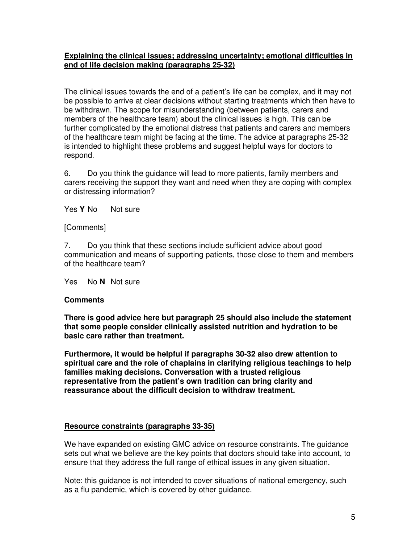## **Explaining the clinical issues; addressing uncertainty; emotional difficulties in end of life decision making (paragraphs 25-32)**

The clinical issues towards the end of a patient's life can be complex, and it may not be possible to arrive at clear decisions without starting treatments which then have to be withdrawn. The scope for misunderstanding (between patients, carers and members of the healthcare team) about the clinical issues is high. This can be further complicated by the emotional distress that patients and carers and members of the healthcare team might be facing at the time. The advice at paragraphs 25-32 is intended to highlight these problems and suggest helpful ways for doctors to respond.

6. Do you think the guidance will lead to more patients, family members and carers receiving the support they want and need when they are coping with complex or distressing information?

Yes Y No Not sure

#### [Comments]

7. Do you think that these sections include sufficient advice about good communication and means of supporting patients, those close to them and members of the healthcare team?

Yes No **N** Not sure

#### **Comments**

**There is good advice here but paragraph 25 should also include the statement that some people consider clinically assisted nutrition and hydration to be basic care rather than treatment.** 

**Furthermore, it would be helpful if paragraphs 30-32 also drew attention to spiritual care and the role of chaplains in clarifying religious teachings to help families making decisions. Conversation with a trusted religious representative from the patient's own tradition can bring clarity and reassurance about the difficult decision to withdraw treatment.** 

#### **Resource constraints (paragraphs 33-35)**

We have expanded on existing GMC advice on resource constraints. The guidance sets out what we believe are the key points that doctors should take into account, to ensure that they address the full range of ethical issues in any given situation.

Note: this guidance is not intended to cover situations of national emergency, such as a flu pandemic, which is covered by other guidance.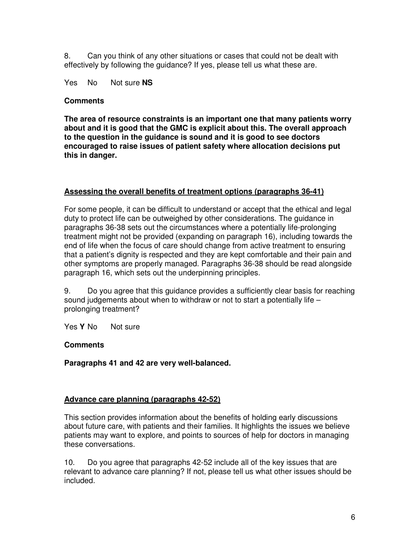8. Can you think of any other situations or cases that could not be dealt with effectively by following the guidance? If yes, please tell us what these are.

Yes No Not sure **NS**

#### **Comments**

**The area of resource constraints is an important one that many patients worry about and it is good that the GMC is explicit about this. The overall approach to the question in the guidance is sound and it is good to see doctors encouraged to raise issues of patient safety where allocation decisions put this in danger.** 

## **Assessing the overall benefits of treatment options (paragraphs 36-41)**

For some people, it can be difficult to understand or accept that the ethical and legal duty to protect life can be outweighed by other considerations. The guidance in paragraphs 36-38 sets out the circumstances where a potentially life-prolonging treatment might not be provided (expanding on paragraph 16), including towards the end of life when the focus of care should change from active treatment to ensuring that a patient's dignity is respected and they are kept comfortable and their pain and other symptoms are properly managed. Paragraphs 36-38 should be read alongside paragraph 16, which sets out the underpinning principles.

9. Do you agree that this guidance provides a sufficiently clear basis for reaching sound judgements about when to withdraw or not to start a potentially life – prolonging treatment?

Yes Y No Not sure

# **Comments**

**Paragraphs 41 and 42 are very well-balanced.** 

# **Advance care planning (paragraphs 42-52)**

This section provides information about the benefits of holding early discussions about future care, with patients and their families. It highlights the issues we believe patients may want to explore, and points to sources of help for doctors in managing these conversations.

10. Do you agree that paragraphs 42-52 include all of the key issues that are relevant to advance care planning? If not, please tell us what other issues should be included.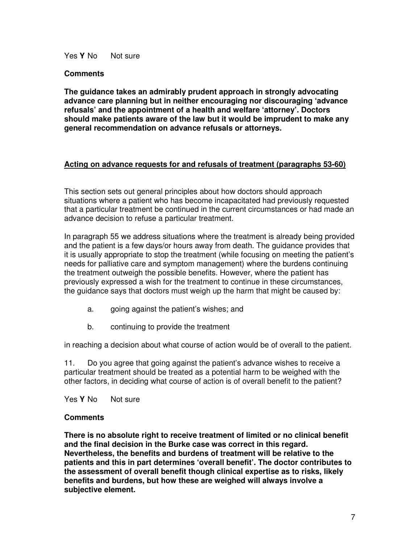Yes Y No Not sure

#### **Comments**

**The guidance takes an admirably prudent approach in strongly advocating advance care planning but in neither encouraging nor discouraging 'advance refusals' and the appointment of a health and welfare 'attorney'. Doctors should make patients aware of the law but it would be imprudent to make any general recommendation on advance refusals or attorneys.** 

## **Acting on advance requests for and refusals of treatment (paragraphs 53-60)**

This section sets out general principles about how doctors should approach situations where a patient who has become incapacitated had previously requested that a particular treatment be continued in the current circumstances or had made an advance decision to refuse a particular treatment.

In paragraph 55 we address situations where the treatment is already being provided and the patient is a few days/or hours away from death. The guidance provides that it is usually appropriate to stop the treatment (while focusing on meeting the patient's needs for palliative care and symptom management) where the burdens continuing the treatment outweigh the possible benefits. However, where the patient has previously expressed a wish for the treatment to continue in these circumstances, the guidance says that doctors must weigh up the harm that might be caused by:

- a. going against the patient's wishes; and
- b. continuing to provide the treatment

in reaching a decision about what course of action would be of overall to the patient.

11. Do you agree that going against the patient's advance wishes to receive a particular treatment should be treated as a potential harm to be weighed with the other factors, in deciding what course of action is of overall benefit to the patient?

Yes Y No Not sure

#### **Comments**

**There is no absolute right to receive treatment of limited or no clinical benefit and the final decision in the Burke case was correct in this regard. Nevertheless, the benefits and burdens of treatment will be relative to the patients and this in part determines 'overall benefit'. The doctor contributes to the assessment of overall benefit though clinical expertise as to risks, likely benefits and burdens, but how these are weighed will always involve a subjective element.**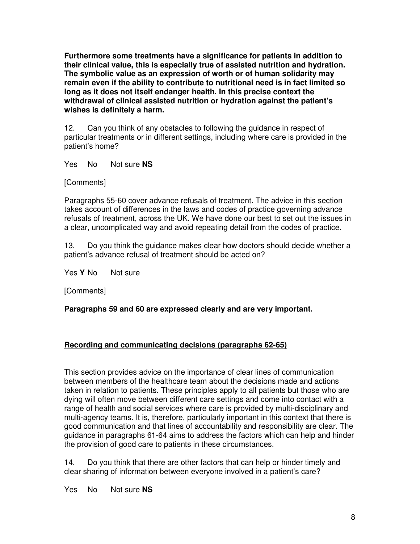**Furthermore some treatments have a significance for patients in addition to their clinical value, this is especially true of assisted nutrition and hydration. The symbolic value as an expression of worth or of human solidarity may remain even if the ability to contribute to nutritional need is in fact limited so long as it does not itself endanger health. In this precise context the withdrawal of clinical assisted nutrition or hydration against the patient's wishes is definitely a harm.** 

12. Can you think of any obstacles to following the guidance in respect of particular treatments or in different settings, including where care is provided in the patient's home?

Yes No Not sure **NS**

[Comments]

Paragraphs 55-60 cover advance refusals of treatment. The advice in this section takes account of differences in the laws and codes of practice governing advance refusals of treatment, across the UK. We have done our best to set out the issues in a clear, uncomplicated way and avoid repeating detail from the codes of practice.

13. Do you think the guidance makes clear how doctors should decide whether a patient's advance refusal of treatment should be acted on?

Yes Y No Not sure

[Comments]

**Paragraphs 59 and 60 are expressed clearly and are very important.** 

# **Recording and communicating decisions (paragraphs 62-65)**

This section provides advice on the importance of clear lines of communication between members of the healthcare team about the decisions made and actions taken in relation to patients. These principles apply to all patients but those who are dying will often move between different care settings and come into contact with a range of health and social services where care is provided by multi-disciplinary and multi-agency teams. It is, therefore, particularly important in this context that there is good communication and that lines of accountability and responsibility are clear. The guidance in paragraphs 61-64 aims to address the factors which can help and hinder the provision of good care to patients in these circumstances.

14. Do you think that there are other factors that can help or hinder timely and clear sharing of information between everyone involved in a patient's care?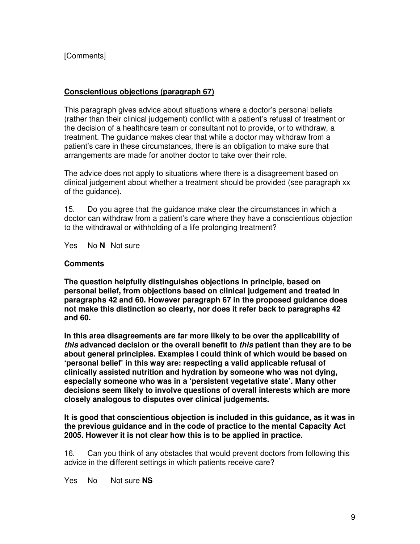# [Comments]

## **Conscientious objections (paragraph 67)**

This paragraph gives advice about situations where a doctor's personal beliefs (rather than their clinical judgement) conflict with a patient's refusal of treatment or the decision of a healthcare team or consultant not to provide, or to withdraw, a treatment. The guidance makes clear that while a doctor may withdraw from a patient's care in these circumstances, there is an obligation to make sure that arrangements are made for another doctor to take over their role.

The advice does not apply to situations where there is a disagreement based on clinical judgement about whether a treatment should be provided (see paragraph xx of the guidance).

15. Do you agree that the guidance make clear the circumstances in which a doctor can withdraw from a patient's care where they have a conscientious objection to the withdrawal or withholding of a life prolonging treatment?

Yes No **N** Not sure

#### **Comments**

**The question helpfully distinguishes objections in principle, based on personal belief, from objections based on clinical judgement and treated in paragraphs 42 and 60. However paragraph 67 in the proposed guidance does not make this distinction so clearly, nor does it refer back to paragraphs 42 and 60.** 

**In this area disagreements are far more likely to be over the applicability of this advanced decision or the overall benefit to this patient than they are to be about general principles. Examples I could think of which would be based on 'personal belief' in this way are: respecting a valid applicable refusal of clinically assisted nutrition and hydration by someone who was not dying, especially someone who was in a 'persistent vegetative state'. Many other decisions seem likely to involve questions of overall interests which are more closely analogous to disputes over clinical judgements.** 

**It is good that conscientious objection is included in this guidance, as it was in the previous guidance and in the code of practice to the mental Capacity Act 2005. However it is not clear how this is to be applied in practice.**

16. Can you think of any obstacles that would prevent doctors from following this advice in the different settings in which patients receive care?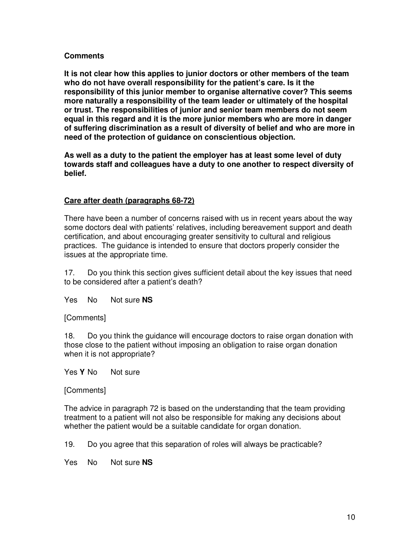**It is not clear how this applies to junior doctors or other members of the team who do not have overall responsibility for the patient's care. Is it the responsibility of this junior member to organise alternative cover? This seems more naturally a responsibility of the team leader or ultimately of the hospital or trust. The responsibilities of junior and senior team members do not seem equal in this regard and it is the more junior members who are more in danger of suffering discrimination as a result of diversity of belief and who are more in need of the protection of guidance on conscientious objection.** 

**As well as a duty to the patient the employer has at least some level of duty towards staff and colleagues have a duty to one another to respect diversity of belief.** 

## **Care after death (paragraphs 68-72)**

There have been a number of concerns raised with us in recent years about the way some doctors deal with patients' relatives, including bereavement support and death certification, and about encouraging greater sensitivity to cultural and religious practices. The guidance is intended to ensure that doctors properly consider the issues at the appropriate time.

17. Do you think this section gives sufficient detail about the key issues that need to be considered after a patient's death?

Yes No Not sure **NS**

#### [Comments]

18. Do you think the guidance will encourage doctors to raise organ donation with those close to the patient without imposing an obligation to raise organ donation when it is not appropriate?

Yes Y No Not sure

[Comments]

The advice in paragraph 72 is based on the understanding that the team providing treatment to a patient will not also be responsible for making any decisions about whether the patient would be a suitable candidate for organ donation.

19. Do you agree that this separation of roles will always be practicable?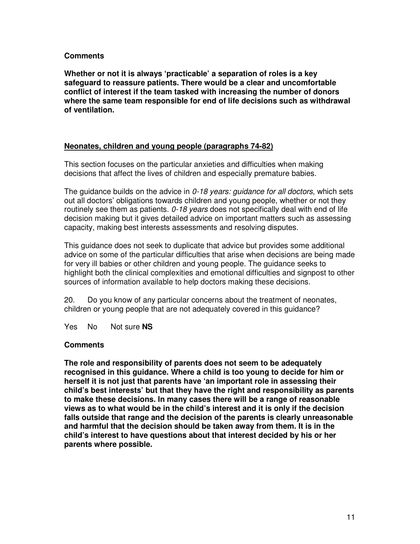**Whether or not it is always 'practicable' a separation of roles is a key safeguard to reassure patients. There would be a clear and uncomfortable conflict of interest if the team tasked with increasing the number of donors where the same team responsible for end of life decisions such as withdrawal of ventilation.** 

#### **Neonates, children and young people (paragraphs 74-82)**

This section focuses on the particular anxieties and difficulties when making decisions that affect the lives of children and especially premature babies.

The guidance builds on the advice in  $0-18$  years: guidance for all doctors, which sets out all doctors' obligations towards children and young people, whether or not they routinely see them as patients.  $0-18$  years does not specifically deal with end of life decision making but it gives detailed advice on important matters such as assessing capacity, making best interests assessments and resolving disputes.

This guidance does not seek to duplicate that advice but provides some additional advice on some of the particular difficulties that arise when decisions are being made for very ill babies or other children and young people. The guidance seeks to highlight both the clinical complexities and emotional difficulties and signpost to other sources of information available to help doctors making these decisions.

20. Do you know of any particular concerns about the treatment of neonates, children or young people that are not adequately covered in this guidance?

Yes No Not sure **NS**

#### **Comments**

**The role and responsibility of parents does not seem to be adequately recognised in this guidance. Where a child is too young to decide for him or herself it is not just that parents have 'an important role in assessing their child's best interests' but that they have the right and responsibility as parents to make these decisions. In many cases there will be a range of reasonable views as to what would be in the child's interest and it is only if the decision falls outside that range and the decision of the parents is clearly unreasonable and harmful that the decision should be taken away from them. It is in the child's interest to have questions about that interest decided by his or her parents where possible.**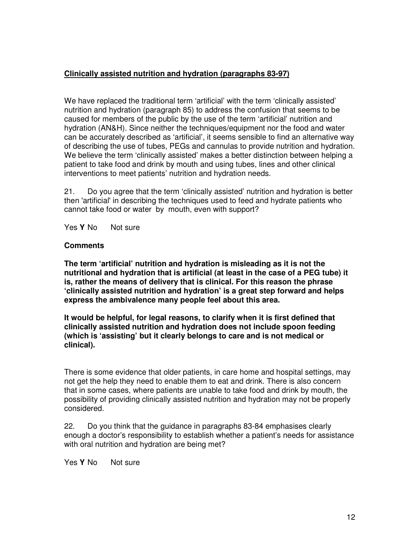# **Clinically assisted nutrition and hydration (paragraphs 83-97)**

We have replaced the traditional term 'artificial' with the term 'clinically assisted' nutrition and hydration (paragraph 85) to address the confusion that seems to be caused for members of the public by the use of the term 'artificial' nutrition and hydration (AN&H). Since neither the techniques/equipment nor the food and water can be accurately described as 'artificial', it seems sensible to find an alternative way of describing the use of tubes, PEGs and cannulas to provide nutrition and hydration. We believe the term 'clinically assisted' makes a better distinction between helping a patient to take food and drink by mouth and using tubes, lines and other clinical interventions to meet patients' nutrition and hydration needs.

21. Do you agree that the term 'clinically assisted' nutrition and hydration is better then 'artificial' in describing the techniques used to feed and hydrate patients who cannot take food or water by mouth, even with support?

Yes Y No Not sure

## **Comments**

**The term 'artificial' nutrition and hydration is misleading as it is not the nutritional and hydration that is artificial (at least in the case of a PEG tube) it is, rather the means of delivery that is clinical. For this reason the phrase 'clinically assisted nutrition and hydration' is a great step forward and helps express the ambivalence many people feel about this area.** 

**It would be helpful, for legal reasons, to clarify when it is first defined that clinically assisted nutrition and hydration does not include spoon feeding (which is 'assisting' but it clearly belongs to care and is not medical or clinical).**

There is some evidence that older patients, in care home and hospital settings, may not get the help they need to enable them to eat and drink. There is also concern that in some cases, where patients are unable to take food and drink by mouth, the possibility of providing clinically assisted nutrition and hydration may not be properly considered.

22. Do you think that the guidance in paragraphs 83-84 emphasises clearly enough a doctor's responsibility to establish whether a patient's needs for assistance with oral nutrition and hydration are being met?

Yes Y No Not sure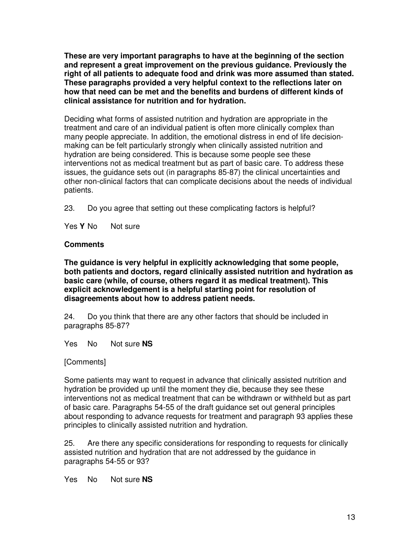**These are very important paragraphs to have at the beginning of the section and represent a great improvement on the previous guidance. Previously the right of all patients to adequate food and drink was more assumed than stated. These paragraphs provided a very helpful context to the reflections later on how that need can be met and the benefits and burdens of different kinds of clinical assistance for nutrition and for hydration.** 

Deciding what forms of assisted nutrition and hydration are appropriate in the treatment and care of an individual patient is often more clinically complex than many people appreciate. In addition, the emotional distress in end of life decisionmaking can be felt particularly strongly when clinically assisted nutrition and hydration are being considered. This is because some people see these interventions not as medical treatment but as part of basic care. To address these issues, the guidance sets out (in paragraphs 85-87) the clinical uncertainties and other non-clinical factors that can complicate decisions about the needs of individual patients.

23. Do you agree that setting out these complicating factors is helpful?

Yes Y No Not sure

#### **Comments**

**The guidance is very helpful in explicitly acknowledging that some people, both patients and doctors, regard clinically assisted nutrition and hydration as basic care (while, of course, others regard it as medical treatment). This explicit acknowledgement is a helpful starting point for resolution of disagreements about how to address patient needs.** 

24. Do you think that there are any other factors that should be included in paragraphs 85-87?

Yes No Not sure **NS**

#### [Comments]

Some patients may want to request in advance that clinically assisted nutrition and hydration be provided up until the moment they die, because they see these interventions not as medical treatment that can be withdrawn or withheld but as part of basic care. Paragraphs 54-55 of the draft guidance set out general principles about responding to advance requests for treatment and paragraph 93 applies these principles to clinically assisted nutrition and hydration.

25. Are there any specific considerations for responding to requests for clinically assisted nutrition and hydration that are not addressed by the guidance in paragraphs 54-55 or 93?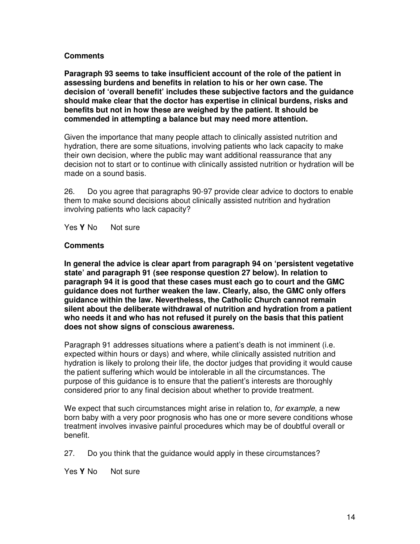**Paragraph 93 seems to take insufficient account of the role of the patient in assessing burdens and benefits in relation to his or her own case. The decision of 'overall benefit' includes these subjective factors and the guidance should make clear that the doctor has expertise in clinical burdens, risks and benefits but not in how these are weighed by the patient. It should be commended in attempting a balance but may need more attention.** 

Given the importance that many people attach to clinically assisted nutrition and hydration, there are some situations, involving patients who lack capacity to make their own decision, where the public may want additional reassurance that any decision not to start or to continue with clinically assisted nutrition or hydration will be made on a sound basis.

26. Do you agree that paragraphs 90-97 provide clear advice to doctors to enable them to make sound decisions about clinically assisted nutrition and hydration involving patients who lack capacity?

Yes Y No Not sure

#### **Comments**

**In general the advice is clear apart from paragraph 94 on 'persistent vegetative state' and paragraph 91 (see response question 27 below). In relation to paragraph 94 it is good that these cases must each go to court and the GMC guidance does not further weaken the law. Clearly, also, the GMC only offers guidance within the law. Nevertheless, the Catholic Church cannot remain silent about the deliberate withdrawal of nutrition and hydration from a patient who needs it and who has not refused it purely on the basis that this patient does not show signs of conscious awareness.** 

Paragraph 91 addresses situations where a patient's death is not imminent (i.e. expected within hours or days) and where, while clinically assisted nutrition and hydration is likely to prolong their life, the doctor judges that providing it would cause the patient suffering which would be intolerable in all the circumstances. The purpose of this guidance is to ensure that the patient's interests are thoroughly considered prior to any final decision about whether to provide treatment.

We expect that such circumstances might arise in relation to, for example, a new born baby with a very poor prognosis who has one or more severe conditions whose treatment involves invasive painful procedures which may be of doubtful overall or benefit.

27. Do you think that the guidance would apply in these circumstances?

Yes Y No Not sure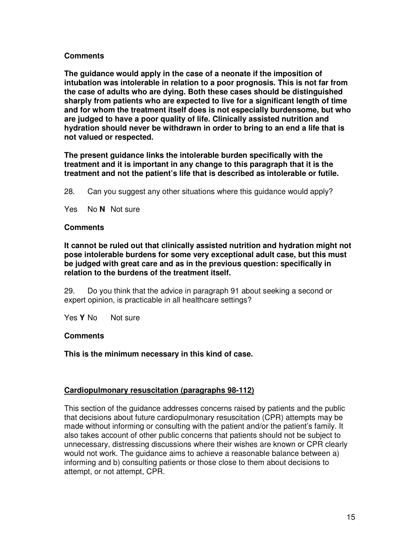**The guidance would apply in the case of a neonate if the imposition of intubation was intolerable in relation to a poor prognosis. This is not far from the case of adults who are dying. Both these cases should be distinguished sharply from patients who are expected to live for a significant length of time and for whom the treatment itself does is not especially burdensome, but who are judged to have a poor quality of life. Clinically assisted nutrition and hydration should never be withdrawn in order to bring to an end a life that is not valued or respected.** 

**The present guidance links the intolerable burden specifically with the treatment and it is important in any change to this paragraph that it is the treatment and not the patient's life that is described as intolerable or futile.** 

28. Can you suggest any other situations where this guidance would apply?

Yes No **N** Not sure

#### **Comments**

**It cannot be ruled out that clinically assisted nutrition and hydration might not pose intolerable burdens for some very exceptional adult case, but this must be judged with great care and as in the previous question: specifically in relation to the burdens of the treatment itself.** 

29. Do you think that the advice in paragraph 91 about seeking a second or expert opinion, is practicable in all healthcare settings?

Yes Y No Not sure

#### **Comments**

**This is the minimum necessary in this kind of case.** 

#### **Cardiopulmonary resuscitation (paragraphs 98-112)**

This section of the guidance addresses concerns raised by patients and the public that decisions about future cardiopulmonary resuscitation (CPR) attempts may be made without informing or consulting with the patient and/or the patient's family. It also takes account of other public concerns that patients should not be subject to unnecessary, distressing discussions where their wishes are known or CPR clearly would not work. The guidance aims to achieve a reasonable balance between a) informing and b) consulting patients or those close to them about decisions to attempt, or not attempt, CPR.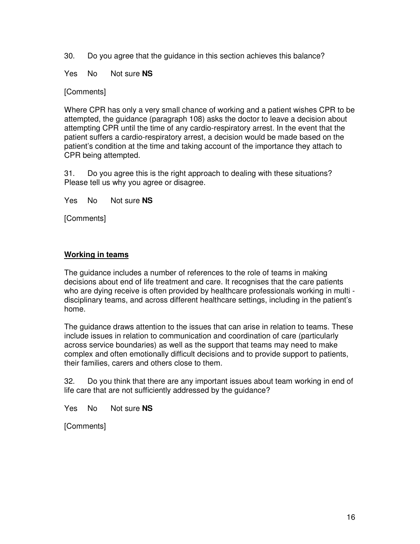30. Do you agree that the guidance in this section achieves this balance?

Yes No Not sure **NS**

[Comments]

Where CPR has only a very small chance of working and a patient wishes CPR to be attempted, the guidance (paragraph 108) asks the doctor to leave a decision about attempting CPR until the time of any cardio-respiratory arrest. In the event that the patient suffers a cardio-respiratory arrest, a decision would be made based on the patient's condition at the time and taking account of the importance they attach to CPR being attempted.

31. Do you agree this is the right approach to dealing with these situations? Please tell us why you agree or disagree.

Yes No Not sure **NS**

[Comments]

## **Working in teams**

The guidance includes a number of references to the role of teams in making decisions about end of life treatment and care. It recognises that the care patients who are dying receive is often provided by healthcare professionals working in multi disciplinary teams, and across different healthcare settings, including in the patient's home.

The guidance draws attention to the issues that can arise in relation to teams. These include issues in relation to communication and coordination of care (particularly across service boundaries) as well as the support that teams may need to make complex and often emotionally difficult decisions and to provide support to patients, their families, carers and others close to them.

32. Do you think that there are any important issues about team working in end of life care that are not sufficiently addressed by the guidance?

Yes No Not sure **NS**

[Comments]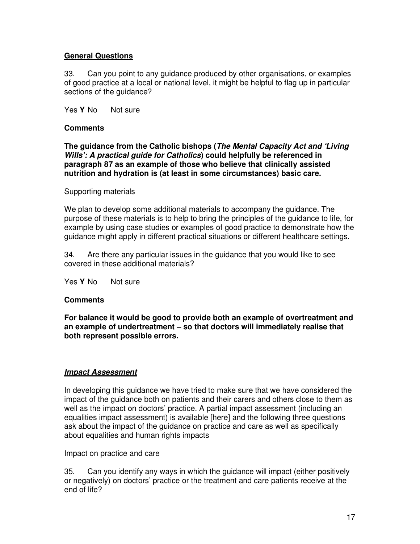# **General Questions**

33. Can you point to any guidance produced by other organisations, or examples of good practice at a local or national level, it might be helpful to flag up in particular sections of the guidance?

Yes Y No Not sure

#### **Comments**

**The guidance from the Catholic bishops (The Mental Capacity Act and 'Living Wills': A practical guide for Catholics) could helpfully be referenced in paragraph 87 as an example of those who believe that clinically assisted nutrition and hydration is (at least in some circumstances) basic care.** 

#### Supporting materials

We plan to develop some additional materials to accompany the guidance. The purpose of these materials is to help to bring the principles of the guidance to life, for example by using case studies or examples of good practice to demonstrate how the guidance might apply in different practical situations or different healthcare settings.

34. Are there any particular issues in the guidance that you would like to see covered in these additional materials?

Yes Y No Not sure

#### **Comments**

**For balance it would be good to provide both an example of overtreatment and an example of undertreatment – so that doctors will immediately realise that both represent possible errors.** 

#### **Impact Assessment**

In developing this guidance we have tried to make sure that we have considered the impact of the guidance both on patients and their carers and others close to them as well as the impact on doctors' practice. A partial impact assessment (including an equalities impact assessment) is available [here] and the following three questions ask about the impact of the guidance on practice and care as well as specifically about equalities and human rights impacts

Impact on practice and care

35. Can you identify any ways in which the guidance will impact (either positively or negatively) on doctors' practice or the treatment and care patients receive at the end of life?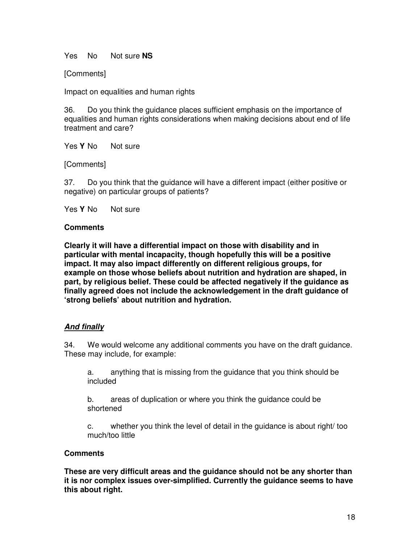Yes No Not sure **NS**

[Comments]

Impact on equalities and human rights

36. Do you think the guidance places sufficient emphasis on the importance of equalities and human rights considerations when making decisions about end of life treatment and care?

Yes Y No Not sure

[Comments]

37. Do you think that the guidance will have a different impact (either positive or negative) on particular groups of patients?

Yes Y No Not sure

#### **Comments**

**Clearly it will have a differential impact on those with disability and in particular with mental incapacity, though hopefully this will be a positive impact. It may also impact differently on different religious groups, for example on those whose beliefs about nutrition and hydration are shaped, in part, by religious belief. These could be affected negatively if the guidance as finally agreed does not include the acknowledgement in the draft guidance of 'strong beliefs' about nutrition and hydration.** 

#### **And finally**

34. We would welcome any additional comments you have on the draft guidance. These may include, for example:

a. anything that is missing from the guidance that you think should be included

b. areas of duplication or where you think the guidance could be shortened

c. whether you think the level of detail in the guidance is about right/ too much/too little

# **Comments**

**These are very difficult areas and the guidance should not be any shorter than it is nor complex issues over-simplified. Currently the guidance seems to have this about right.**